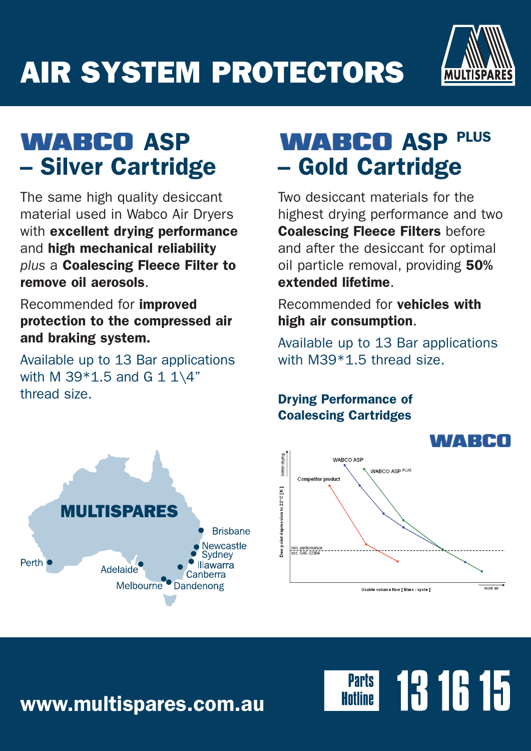# AIR SYSTEM PROTECTORS



## **WABCO ASP** – Silver Cartridge

The same high quality desiccant material used in Wabco Air Dryers with excellent drying performance and high mechanical reliability *plus* a Coalescing Fleece Filter to remove oil aerosols.

Recommended for improved protection to the compressed air and braking system.

Available up to 13 Bar applications with M 39 $*1.5$  and G 1 1\4" thread size.

## **WABCO ASP PLUS** – Gold Cartridge

Two desiccant materials for the highest drying performance and two Coalescing Fleece Filters before and after the desiccant for optimal oil particle removal, providing 50% extended lifetime.

Recommended for vehicles with high air consumption.

Available up to 13 Bar applications with M39\*1.5 thread size.

### Drying Performance of Coalescing Cartridges





13 16 15

**Parts** 

www.multispares.com.au